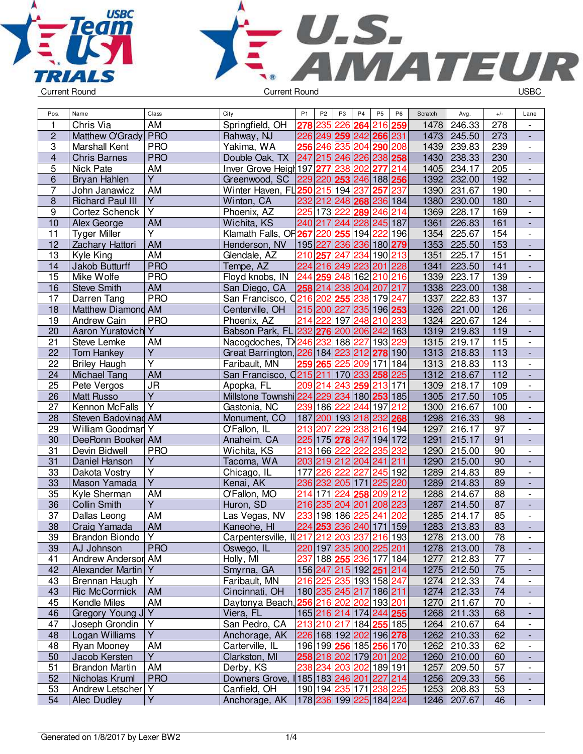



| Pos.                    | Name                    | Class                   | City                                       | P <sub>1</sub>  | P <sub>2</sub> | P <sub>3</sub>  | P <sub>4</sub>  | P <sub>5</sub>                    | P <sub>6</sub>          | Scratch | Avg.        | $+/-$           | Lane                     |
|-------------------------|-------------------------|-------------------------|--------------------------------------------|-----------------|----------------|-----------------|-----------------|-----------------------------------|-------------------------|---------|-------------|-----------------|--------------------------|
| 1                       | Chris Via               | $\overline{AM}$         | Springfield, OH                            | 278             | 235            | 226             | 264             | 216                               | 259                     | 1478    | 246.33      | 278             |                          |
| $\overline{2}$          | Matthew O'Grady         | <b>PRO</b>              | Rahway, NJ                                 |                 |                |                 |                 | 226 249 259 242 266 231           |                         | 1473    | 245.50      | 273             | $\blacksquare$           |
| $\overline{3}$          | Marshall Kent           | <b>PRO</b>              | Yakima, WA                                 |                 |                |                 |                 | 256 246 235 204 290 208           |                         | 1439    | 239.83      | 239             | $\blacksquare$           |
| $\overline{\mathbf{4}}$ | <b>Chris Barnes</b>     | <b>PRO</b>              | Double Oak, TX                             |                 |                |                 |                 | 247 215 246 226 238 258           |                         | 1430    | 238.33      | 230             | $\frac{1}{2}$            |
| 5                       | Nick Pate               | AM                      | Inver Grove Heigh 197 277                  |                 |                |                 | 238 202         | 277                               | 214                     | 1405    | 234.17      | 205             | $\overline{\phantom{a}}$ |
| 6                       | Bryan Hahlen            | Y                       | Greenwood, SC 229 220 253 246 188 256      |                 |                |                 |                 |                                   |                         | 1392    | 232.00      | 192             | $\overline{\phantom{a}}$ |
| $\overline{7}$          | John Janawicz           | AM                      | Winter Haven, FL 250 215 194 237           |                 |                |                 |                 | 257                               | 237                     | 1390    | 231.67      | 190             |                          |
| $\overline{8}$          | <b>Richard Paul III</b> | Y                       | Winton, CA                                 |                 |                |                 | 232 212 248 268 |                                   | 236 184                 | 1380    | 230.00      | 180             | $\overline{\phantom{a}}$ |
| $\overline{9}$          | Cortez Schenck          | $\overline{\mathsf{Y}}$ | Phoenix, AZ                                |                 | 225 173 222    |                 | 289             | 246                               | 214                     | 1369    | 228.17      | 169             | $\overline{\phantom{a}}$ |
| 10                      | Alex George             | AM                      | Wichita, KS                                | 240 217         |                |                 |                 | $244$  228 245 187                |                         | 1361    | 226.83      | 161             | $\overline{a}$           |
| 11                      | <b>Tyger Miller</b>     | $\overline{\mathsf{Y}}$ | Klamath Falls, OF 267 220 255 194 222      |                 |                |                 |                 |                                   | 196                     | 1354    | 225.67      | 154             | $\overline{\phantom{a}}$ |
| $\overline{12}$         | Zachary Hattori         | <b>AM</b>               | Henderson, NV                              |                 |                |                 |                 | 195 227 236 236 180 279           |                         | 1353    | 225.50      | 153             | $\Box$                   |
| 13                      | Kyle King               | <b>AM</b>               | Glendale, AZ                               |                 |                |                 |                 | 210 257 247 234 190 213           |                         | 1351    | 225.17      | 151             | $\overline{\phantom{a}}$ |
| 14                      | Jakob Butturff          | <b>PRO</b>              | Tempe, AZ                                  |                 |                |                 |                 | 224 216 249 223 201 228           |                         | 1341    | 223.50      | 141             | ÷,                       |
| 15                      | Mike Wolfe              | <b>PRO</b>              | Floyd knobs, IN                            |                 |                |                 |                 | 244 259 248 162 210 216           |                         | 1339    | 223.17      | 139             | $\blacksquare$           |
| 16                      | <b>Steve Smith</b>      | <b>AM</b>               | San Diego, CA                              |                 |                |                 |                 | 258 214 238 204 207 217           |                         | 1338    | 223.00      | 138             | $\overline{\phantom{a}}$ |
| 17                      | Darren Tang             | <b>PRO</b>              | San Francisco, 0216 202 255 238 179 247    |                 |                |                 |                 |                                   |                         | 1337    | 222.83      | 137             |                          |
| 18                      | Matthew Diamond AM      |                         | Centerville, OH                            |                 |                |                 |                 | 215 200 227 235 196 253           |                         | 1326    | 221.00      | 126             | $\overline{\phantom{a}}$ |
| 19                      | Andrew Cain             | <b>PRO</b>              | Phoenix, AZ                                |                 |                |                 | 214 222 197 248 | 210                               | 233                     | 1324    | 220.67      | 124             | $\overline{\phantom{a}}$ |
| 20                      | Aaron Yuratovich        | Y                       | Babson Park, FL 232 276 200 206 242        |                 |                |                 |                 |                                   | 163                     | 1319    | 219.83      | 119             | $\overline{\phantom{a}}$ |
| 21                      | Steve Lemke             | AM                      | Nacogdoches, TX246 232                     |                 |                |                 | 188 227         | 193 229                           |                         | 1315    | 219.17      | 115             |                          |
| $\overline{22}$         | <b>Tom Hankey</b>       | $\overline{Y}$          | Great Barrington, 226 184 223 212 278 190  |                 |                |                 |                 |                                   |                         | 1313    | 218.83      | 113             | $\blacksquare$           |
| $\overline{22}$         | <b>Briley Haugh</b>     | $\overline{\mathsf{Y}}$ | Faribault, MN                              |                 |                |                 |                 | 259 265 225 209 171 184           |                         | 1313    | 218.83      | 113             | $\Box$                   |
| 24                      | <b>Michael Tang</b>     | <b>AM</b>               | San Francisco, 0215 211 170 233 258 225    |                 |                |                 |                 |                                   |                         | 1312    | 218.67      | 112             | $\frac{1}{2}$            |
| 25                      | Pete Vergos             | J <sub>R</sub>          | Apopka, FL                                 |                 | 209 214        |                 |                 | 243 259 213 171                   |                         | 1309    | 218.17      | 109             | $\overline{\phantom{a}}$ |
| 26                      | <b>Matt Russo</b>       | Y                       | Millstone Townshi 224 229 234 180 253 185  |                 |                |                 |                 |                                   |                         | 1305    | 217.50      | 105             | $\overline{\phantom{a}}$ |
| 27                      | Kennon McFalls          | Ý                       | Gastonia, NC                               |                 |                | 239 186 222     | 244             | 197 212                           |                         | 1300    | 216.67      | 100             |                          |
| 28                      | Steven Badovinad AM     |                         | Monument, CO                               |                 |                |                 |                 | 187 200 193 218 232 268           |                         | 1298    | 216.33      | 98              | $\overline{\phantom{a}}$ |
| 29                      | William Goodman         | Y                       | O'Fallon, IL                               | 213 207         |                |                 | 229 238         | 216 194                           |                         | 1297    | 216.17      | 97              | $\overline{\phantom{a}}$ |
| 30                      | DeeRonn Booker AM       |                         | Anaheim, CA                                |                 |                | 225 175 278     | 247             | 194                               | 172                     | 1291    | 215.17      | $\overline{91}$ | $\overline{\phantom{a}}$ |
| 31                      | Devin Bidwell           | <b>PRO</b>              | Wichita, KS                                |                 |                | 213 166 222     | 222             | 235                               | 232                     | 1290    | 215.00      | 90              | $\overline{\phantom{a}}$ |
| $\overline{31}$         | Daniel Hanson           | $\overline{Y}$          | Tacoma, WA                                 |                 |                |                 |                 | 203 219 212 204 241 211           |                         | 1290    | 215.00      | $\overline{90}$ |                          |
| 33                      | Dakota Vostry           | $\overline{Y}$          | Chicago, IL                                | 177             | 226            | 222             | 227             |                                   | 245 192                 | 1289    | 214.83      | 89              | $\overline{\phantom{a}}$ |
| 33                      | Mason Yamada            | $\overline{Y}$          | Kenai, AK                                  |                 |                | 236 232 205 171 |                 | 225 220                           |                         | 1289    | 214.83      | 89              | $\frac{1}{2}$            |
| 35                      | Kyle Sherman            | AM                      | O'Fallon, MO                               | 214 171         |                | 224             | 258             | 209                               | 212                     | 1288    | 214.67      | 88              | $\overline{\phantom{a}}$ |
| 36                      | Collin Smith            | Υ                       | Huron, SD                                  | 216 235 204 201 |                |                 |                 | 208 223                           |                         | 1287    | 214.50      | 87              | $\overline{\phantom{a}}$ |
| 37                      | Dallas Leong            | AM                      | Las Vegas, NV                              |                 |                | 233 198 186 225 |                 | 241                               | 202                     | 1285    | 214.17      | 85              |                          |
| $\overline{38}$         | Craig Yamada            | AM                      | Kaneohe, HI                                |                 |                |                 |                 | 224 253 236 240 171 159           |                         | 1283    | 213.83      | 83              |                          |
| 39                      | Brandon Biondo          | $\overline{Y}$          | Carpentersville, IL217 212 203 237 216 193 |                 |                |                 |                 |                                   |                         |         | 1278 213.00 | 78              |                          |
| 39                      | AJ Johnson              | <b>PRO</b>              | Oswego, IL                                 |                 |                |                 |                 | 220 197 235 200 225 201           |                         |         | 1278 213.00 | 78              |                          |
| 41                      | Andrew Anderson AM      |                         | Holly, MI                                  |                 |                |                 |                 | 237 188 255 236 177 184           |                         | 1277    | 212.83      | 77              |                          |
| 42                      | Alexander Martin        | Y                       | Smyrna, GA                                 |                 |                |                 |                 |                                   | 156 247 215 192 251 214 |         | 1275 212.50 | 75              |                          |
| 43                      | Brennan Haugh           | $\overline{Y}$          | Faribault, MN                              |                 |                |                 |                 | 216 225 235 193 158 247           |                         | 1274    | 212.33      | 74              | $\blacksquare$           |
| 43                      | Ric McCormick           | AM                      | Cincinnati, OH                             |                 |                |                 |                 | 180 235 245 217 186 211           |                         | 1274    | 212.33      | 74              | $\overline{\phantom{a}}$ |
| 45                      | Kendle Miles            | AM                      | Daytonya Beach,                            |                 |                |                 |                 | 256 216 202 202 193 201           |                         | 1270    | 211.67      | 70              | $\overline{\phantom{a}}$ |
| 46                      | Gregory Young J         | Y                       | Viera, FL                                  |                 |                |                 |                 | 165 216 214 174 244 255           |                         | 1268    | 211.33      | 68              | $\overline{\phantom{a}}$ |
| 47                      | Joseph Grondin          | Υ                       | San Pedro, CA                              |                 |                |                 |                 |                                   | 213 210 217 184 255 185 | 1264    | 210.67      | 64              | -                        |
| 48                      | Logan Williams          | $\overline{Y}$          | Anchorage, AK                              |                 |                |                 |                 |                                   | 226 168 192 202 196 278 |         | 1262 210.33 | 62              | $\overline{\phantom{a}}$ |
| 48                      | Ryan Mooney             | AM                      | Carterville, IL                            |                 |                |                 |                 |                                   | 196 199 256 185 256 170 | 1262    | 210.33      | 62              | $\overline{\phantom{a}}$ |
| 50                      | Jacob Kersten           | Y                       | Clarkston, MI                              |                 |                |                 |                 | 258 218 202 179 201 202           |                         | 1260    | 210.00      | 60              | $\overline{\phantom{a}}$ |
| 51                      | <b>Brandon Martin</b>   | AM                      | Derby, KS                                  |                 |                |                 |                 | 238 234 203 202 189 191           |                         | 1257    | 209.50      | 57              | $\overline{a}$           |
| 52                      | Nicholas Kruml          | <b>PRO</b>              | Downers Grove,                             |                 |                |                 |                 | 185   183   246   201   227   214 |                         |         | 1256 209.33 | 56              |                          |
| 53                      | Andrew Letscher         | Y                       | Canfield, OH                               |                 |                |                 |                 | 190 194 235 171 238 225           |                         | 1253    | 208.83      | 53              | $\blacksquare$           |
| 54                      | Alec Dudley             | $\overline{Y}$          | Anchorage, AK                              |                 |                |                 |                 |                                   | 178 236 199 225 184 224 |         | 1246 207.67 | 46              | $\overline{\phantom{a}}$ |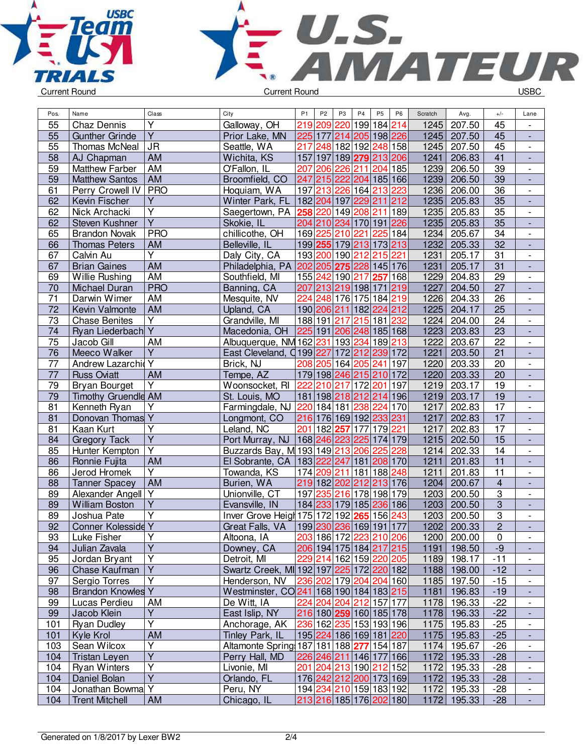



| Pos.            | Name                                        | Class                   | City                                                | P <sub>1</sub>                                        | P <sub>2</sub> | P <sub>3</sub>          | P <sub>4</sub> | P <sub>5</sub> | P <sub>6</sub>          | Scratch      | Avg.             | $+/-$                            | Lane                     |
|-----------------|---------------------------------------------|-------------------------|-----------------------------------------------------|-------------------------------------------------------|----------------|-------------------------|----------------|----------------|-------------------------|--------------|------------------|----------------------------------|--------------------------|
| 55              | Chaz Dennis                                 | $\overline{\mathsf{Y}}$ | Galloway, OH                                        |                                                       |                | 219 209 220 199 184 214 |                |                |                         | 1245         | 207.50           | 45                               |                          |
| 55              | <b>Gunther Grinde</b>                       | $\overline{Y}$          | Prior Lake, MN                                      |                                                       |                | 225 177 214 205 198 226 |                |                |                         | 1245         | 207.50           | 45                               | $\overline{\phantom{a}}$ |
| 55              | Thomas McNeal                               | <b>JR</b>               | Seattle, WA                                         |                                                       |                | 217 248 182 192 248 158 |                |                |                         | 1245         | 207.50           | 45                               | $\overline{\phantom{a}}$ |
| 58              | AJ Chapman                                  | AM                      | Wichita, KS                                         |                                                       |                | 157 197 189 279 213 206 |                |                |                         | 1241         | 206.83           | 41                               | $\overline{\phantom{a}}$ |
| 59              | <b>Matthew Farber</b>                       | AM                      | O'Fallon, IL                                        | 207                                                   |                | 206 226 211             |                |                | 204 185                 | 1239         | 206.50           | 39                               | $\overline{\phantom{a}}$ |
| 59              | <b>Matthew Santos</b>                       | <b>AM</b>               | Broomfield, CO                                      |                                                       |                | 247 215 222 204 185 166 |                |                |                         | 1239         | 206.50           | 39                               | $\overline{\phantom{a}}$ |
| 61              | Perry Crowell IV                            | <b>PRO</b>              | Hoquiam, WA                                         |                                                       |                | 197 213 226 164 213 223 |                |                |                         | 1236         | 206.00           | 36                               | $\overline{\phantom{a}}$ |
| 62              | Kevin Fischer                               | $\overline{Y}$          | Winter Park, FL 182 204 197 229 211 212             |                                                       |                |                         |                |                |                         | 1235         | 205.83           | 35                               |                          |
| 62              | Nick Archacki                               | $\overline{\mathsf{Y}}$ | Saegertown, PA 258 220 149 208 211 189              |                                                       |                |                         |                |                |                         | 1235         | 205.83           | $\overline{35}$                  | $\overline{\phantom{a}}$ |
| 62              | <b>Steven Kushner</b>                       | $\overline{Y}$          | Skokie, IL                                          |                                                       |                | 204 210 234 170 191 226 |                |                |                         | 1235         | 205.83           | 35                               | $\overline{\phantom{a}}$ |
| 65              | <b>Brandon Novak</b>                        | <b>PRO</b>              | chillicothe, OH                                     |                                                       |                | 169 225 210 221         |                |                | 225 184                 | 1234         | 205.67           | 34                               | $\overline{\phantom{a}}$ |
| 66              | <b>Thomas Peters</b>                        | AM                      | Belleville, IL                                      |                                                       |                | 199 255 179 213 173 213 |                |                |                         | 1232         | 205.33           | 32                               | $\overline{\phantom{a}}$ |
| 67              | Calvin Au                                   | $\overline{Y}$          | Daly City, CA                                       |                                                       |                | 193 200 190 212 215 221 |                |                |                         | 1231         | 205.17           | 31                               | $\overline{\phantom{a}}$ |
| 67              | <b>Brian Gaines</b>                         | AM                      | Philadelphia, PA 202 205 275 228 145 176            |                                                       |                |                         |                |                |                         | 1231         | 205.17           | 31                               | $\overline{\phantom{a}}$ |
| 69              | Willie Rushing                              | AM                      | Southfield, MI                                      |                                                       |                | 155 242 190 217 257 168 |                |                |                         | 1229         | 204.83           | 29                               | $\overline{\phantom{a}}$ |
| 70              | Michael Duran                               | <b>PRO</b>              | Banning, CA                                         |                                                       |                | 207 213 219 198 171 219 |                |                |                         | 1227         | 204.50           | 27                               | $\overline{\phantom{a}}$ |
| $\overline{71}$ | Darwin Wimer                                | AM                      | Mesquite, NV                                        |                                                       |                | 224 248 176 175 184 219 |                |                |                         | 1226         | 204.33           | 26                               | $\overline{\phantom{a}}$ |
| 72              | Kevin Valmonte                              | AM                      | Upland, CA                                          |                                                       |                | 190 206 211 182 224 212 |                |                |                         | 1225         | 204.17           | $\overline{25}$                  | $\overline{\phantom{a}}$ |
| 73              | <b>Chase Benites</b>                        | $\overline{Y}$          | Grandville, MI                                      |                                                       |                | 188 191 217 215 181 232 |                |                |                         | 1224         | 204.00           | 24                               | $\overline{\phantom{a}}$ |
| 74              | Ryan Liederbach Y                           |                         | Macedonia, OH                                       | 225 191 206 248 185 168                               |                |                         |                |                |                         | 1223         | 203.83           | $\overline{23}$                  | $\overline{\phantom{a}}$ |
| 75              | Jacob Gill                                  | AM                      | Albuquerque, NM 162 231 193 234 189 213             |                                                       |                |                         |                |                |                         | 1222         | 203.67           | 22                               | $\overline{\phantom{a}}$ |
| 76              | Meeco Walker                                | $\overline{Y}$          | East Cleveland, Q199 227 172 212 239 172            |                                                       |                |                         |                |                |                         | 1221         | 203.50           | 21                               | $\overline{\phantom{a}}$ |
| 77              | Andrew Lazarchid                            | Y                       | Brick, NJ                                           |                                                       |                | 208 205 164 205 241 197 |                |                |                         | 1220         | 203.33           | 20                               | $\overline{\phantom{a}}$ |
| 77              | <b>Russ Oviatt</b>                          | AM                      | Tempe, AZ                                           |                                                       |                | 179 198 246 215 210 172 |                |                |                         | 1220         | 203.33           | 20                               |                          |
| 79              | <b>Bryan Bourget</b>                        | Y                       | Woonsocket, RI <sup>7222</sup>                      |                                                       |                | 210 217 172 201 197     |                |                |                         | 1219         | 203.17           | 19                               | $\overline{\phantom{a}}$ |
| 79              | Timothy Gruendle AM                         |                         | St. Louis, MO                                       |                                                       |                | 181 198 218 212 214 196 |                |                |                         | 1219         | 203.17           | 19                               | $\overline{\phantom{a}}$ |
| 81              | Kenneth Ryan                                | Υ                       | Farmingdale, NJ 220 184 181 238 224 170             |                                                       |                |                         |                |                |                         | 1217         | 202.83           | 17                               | $\overline{\phantom{a}}$ |
| 81              | Donovan Thomas Y                            |                         | Longmont, CO                                        |                                                       |                | 216 176 169 192 233 231 |                |                |                         | 1217         | 202.83           | 17                               | $\blacksquare$           |
| 81              | Kaan Kurt                                   | $\overline{Y}$          | Leland, NC                                          |                                                       |                | 201 182 257 177 179 221 |                |                |                         | 1217         | 202.83           | 17                               | $\overline{\phantom{a}}$ |
| 84              | <b>Gregory Tack</b>                         | $\overline{Y}$          | Port Murray, NJ 168 246 223 225 174 179             |                                                       |                |                         |                |                |                         | 1215         | 202.50           | $\overline{15}$                  |                          |
| 85              | Hunter Kempton                              | $\overline{Y}$          | Buzzards Bay, M 193 149 213 206 225 228             |                                                       |                |                         |                |                |                         | 1214         | 202.33           | 14                               | $\overline{\phantom{a}}$ |
| 86              | Ronnie Fujita                               | AM                      | El Sobrante, CA   183   222   247   181   208   170 |                                                       |                |                         |                |                |                         | 1211         | 201.83           | 11                               | $\blacksquare$           |
| 86              | Jerod Hromek                                | Y                       | Towanda, KS                                         |                                                       |                | 174 209 211 181 188 248 |                |                |                         | 1211         | 201.83           | 11                               | $\overline{\phantom{a}}$ |
| 88              | <b>Tanner Spacey</b>                        | AM                      | Burien, WA                                          |                                                       |                | 219 182 202 212 213 176 |                |                |                         | 1204         | 200.67           |                                  |                          |
|                 |                                             |                         |                                                     |                                                       |                |                         |                |                |                         |              |                  | $\overline{4}$<br>$\overline{3}$ | $\overline{\phantom{a}}$ |
| 89              | Alexander Angell Y<br><b>William Boston</b> | $\overline{Y}$          | Unionville, CT                                      |                                                       |                | 197 235 216 178 198 179 |                |                |                         | 1203<br>1203 | 200.50           | $\overline{3}$                   | $\overline{\phantom{a}}$ |
| 89              |                                             | $\overline{Y}$          | Evansville, IN                                      | 184  <mark>233</mark>  179 185  <mark>236</mark>  186 |                |                         |                |                |                         |              | 200.50<br>200.50 | $\overline{3}$                   |                          |
| 89              | Joshua Pate                                 |                         | Inver Grove Heigh 175 172 192 265 156 243           |                                                       |                |                         |                |                |                         | 1203         |                  | $\overline{2}$                   | $\overline{\phantom{a}}$ |
| 92              | Conner Kolesside Y                          | $\overline{Y}$          | Great Falls, VA 199 230 236 169 191 177             | 203 186 172 223 210 206                               |                |                         |                |                |                         | 1202         | 200.33           |                                  | $\blacksquare$           |
| 93              | Luke Fisher                                 | $\overline{Y}$          | Altoona, IA                                         |                                                       |                |                         |                |                |                         |              | 1200 200.00      | $\overline{0}$                   |                          |
| 94              | Julian Zavala                               | Y                       | Downey, CA                                          |                                                       |                | 206 194 175 184 217 215 |                |                |                         |              | 1191   198.50    | $-9$                             |                          |
| 95              | Jordan Bryant                               |                         | Detroit, MI                                         |                                                       |                | 229 214 162 159 220 205 |                |                |                         |              | 1189 198.17      | $-11$                            | $\overline{\phantom{a}}$ |
| 96              | Chase Kaufman                               | Y                       | Swartz Creek, MI 192 197 225 172 220 182            |                                                       |                |                         |                |                |                         |              | 1188 198.00      | $-12$                            | $\overline{\phantom{a}}$ |
| 97              | Sergio Torres                               | Y                       | Henderson, NV                                       |                                                       |                | 236 202 179 204 204 160 |                |                |                         |              | 1185 197.50      | $-15$                            | $\overline{\phantom{a}}$ |
| 98              | <b>Brandon Knowles Y</b>                    |                         | Westminster, CO 241   168   190   184   183   215   |                                                       |                |                         |                |                |                         | 1181         | 196.83           | $-19$                            | $\overline{\phantom{a}}$ |
| 99              | Lucas Perdieu                               | AM                      | De Witt, IA                                         |                                                       |                | 224 204 204 212 157 177 |                |                |                         |              | 1178 196.33      | $-22$                            | $\overline{\phantom{a}}$ |
| 99              | Jacob Klein                                 | $\overline{Y}$          | East Islip, NY                                      |                                                       |                | 216 180 259 160 185 178 |                |                |                         |              | 1178 196.33      | $-22$                            | $\overline{\phantom{a}}$ |
| 101             | <b>Ryan Dudley</b>                          | $\overline{Y}$          | Anchorage, AK                                       |                                                       |                | 236 162 235 153 193 196 |                |                |                         |              | 1175 195.83      | $-25$                            | $\overline{\phantom{a}}$ |
| 101             | Kyle Krol                                   | <b>AM</b>               | Tinley Park, IL                                     |                                                       |                | 195 224 186 169 181 220 |                |                |                         | 1175         | 195.83           | $-25$                            | ٠                        |
| 103             | Sean Wilcox                                 | Υ                       | Altamonte Spring 187 181 188 277 154 187            |                                                       |                |                         |                |                |                         | 1174         | 195.67           | $-26$                            | $\overline{\phantom{a}}$ |
| 104             | <b>Tristan Leyen</b>                        | $\overline{Y}$          | Perry Hall, MD                                      |                                                       |                | 226 246 211 146 177 166 |                |                |                         |              | 1172 195.33      | $-28$                            |                          |
| 104             | <b>Ryan Winters</b>                         | $\overline{Y}$          | Livonie, MI                                         |                                                       |                | 201 204 213 190 212 152 |                |                |                         | 1172         | 195.33           | $-28$                            | $\overline{\phantom{a}}$ |
| 104             | Daniel Bolan                                | $\overline{Y}$          | Orlando, FL                                         |                                                       |                | 176 242 212 200 173 169 |                |                |                         | 1172         | 195.33           | $-28$                            | $\overline{\phantom{a}}$ |
| 104             | Jonathan Bowma Y                            |                         | Peru, NY                                            |                                                       |                | 194 234 210 159 183 192 |                |                |                         | 1172         | 195.33           | $-28$                            | $\overline{\phantom{a}}$ |
| 104             | <b>Trent Mitchell</b>                       | AM                      | Chicago, IL                                         |                                                       |                |                         |                |                | 213 216 185 176 202 180 | 1172         | 195.33           | $-28$                            | $\overline{\phantom{a}}$ |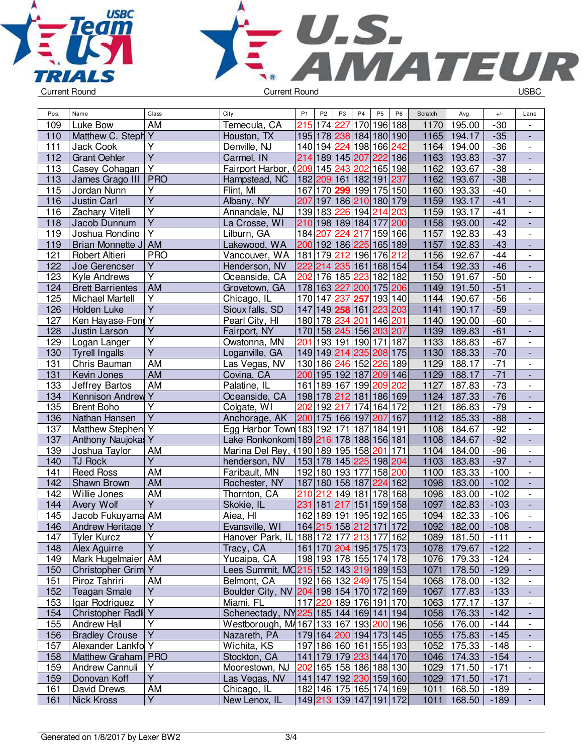



| AM<br>215 174 227<br>196 188<br>195.00<br>109<br>Luke Bow<br>Temecula, CA<br>170<br>$-30$<br>1170<br>$\overline{\phantom{a}}$<br>Matthew C. Steph Y<br>1165<br>$-35$<br>195 178 238 184 180 190<br>110<br>Houston, TX<br>194.17<br>$\blacksquare$<br>$\overline{Y}$<br>$-36$<br>Denville, NJ<br>140 194 224 198 166 242<br>1164<br>111<br>Jack Cook<br>194.00<br>$\overline{\phantom{a}}$<br>$\overline{\mathsf{Y}}$<br>214 189 145 207 222 186<br>1163<br>$-37$<br>112<br><b>Grant Oehler</b><br>Carmel, IN<br>193.83<br>$\overline{\phantom{a}}$<br>Y<br>4209 145 243 202<br>165 198<br>1162<br>$-38$<br>113<br>Casey Cohagan<br>Fairport Harbor,<br>193.67<br>$\overline{\phantom{a}}$<br>$ $ PRO<br>182 209 161 182 191 237<br>1162<br>193.67<br>$-38$<br>113<br>James Grago III<br>Hampstead, NC<br>$\Box$<br>Y<br>115<br>Jordan Nunn<br>Flint, MI<br>167 170 299 199 175 150<br>1160<br>193.33<br>$-40$<br>$\overline{\phantom{a}}$<br>Ÿ<br>Albany, NY<br>207<br>197 186 210 180 179<br>1159<br>193.17<br>$-41$<br>116<br><b>Justin Carl</b><br>$\overline{\phantom{a}}$<br>Υ<br>139 183 226 194<br>116<br>Zachary Vitelli<br>Annandale, NJ<br>1159<br>193.17<br>$-41$<br>214<br>203<br>$\overline{\phantom{a}}$<br>$\overline{Y}$<br>$-42$<br>210 198 189 184 177 200<br>1158<br>118<br>La Crosse, WI<br>193.00<br>Jacob Dunnum<br>$\overline{Y}$<br>Lilburn, GA<br>1157<br>$-43$<br>119<br>Joshua Rondino<br>184 207<br>224<br>159 166<br>192.83<br>217<br>$\overline{\phantom{a}}$<br>$-43$<br>Brian Monnette JI AM<br>Lakewood, WA<br>200 192 186 225 165 189<br>1157<br>119<br>192.83<br>$\frac{1}{2}$<br>$-44$<br>121<br><b>PRO</b><br>181 179 212 196 176 212<br>1156<br>192.67<br>Robert Altieri<br>Vancouver, WA<br>$\overline{\phantom{a}}$<br>122<br>Υ<br>1154<br>192.33<br>$-46$<br>Joe Gerencser<br>222<br>214<br>235 161 168 154<br>Henderson, NV<br>$\blacksquare$<br>$\overline{\mathsf{Y}}$<br>202<br>123<br>176 185 223<br>182 182<br>1150<br>$-50$<br>Kyle Andrews<br>Oceanside, CA<br>191.67<br>$\overline{\phantom{a}}$<br>178 163 227<br>AM<br>175 206<br>$-51$<br>Grovetown, GA<br>200<br>1149<br>191.50<br>124<br><b>Brett Barrientes</b><br>$\overline{Y}$<br>125<br>170 147<br>193 140<br>$-56$<br><b>Michael Martell</b><br>Chicago, IL<br>237<br>257<br>1144<br>190.67<br>$\overline{\phantom{a}}$<br>$\overline{\mathsf{Y}}$<br>Sioux falls, SD<br>147 149 258 161 223 203<br>126<br>Holden Luke<br>1141<br>190.17<br>$-59$<br>$\overline{\phantom{a}}$<br>$\overline{Y}$<br>Ken Hayase-Fon<br>180 178 234 201 146 201<br>127<br>Pearl City, HI<br>1140<br>190.00<br>$-60$<br>$\qquad \qquad \blacksquare$<br>$\overline{\mathsf{Y}}$<br>1139<br>$-61$<br>128<br>Justin Larson<br>Fairport, NY<br>170 158 245 156 203 207<br>189.83<br>$\overline{Y}$<br>193 191 190 171 187<br>188.83<br>$-67$<br>129<br>Logan Langer<br>Owatonna, MN<br>201<br>1133<br>$\overline{\phantom{a}}$<br>$\overline{Y}$<br>$-70$<br>149 149 214 235 208 175<br>1130<br>130<br><b>Tyrell Ingalls</b><br>Loganville, GA<br>188.33<br>$\overline{\phantom{a}}$<br><b>AM</b><br>$-71$<br>130 186 246 152 226 189<br>1129<br>188.17<br>131<br>Las Vegas, NV<br>Chris Bauman<br>$\overline{\phantom{a}}$<br>$-71$<br><b>AM</b><br>200 195 192 187 209 146<br>1129<br>188.17<br>131<br>Covina, CA<br>Kevin Jones<br>$\frac{1}{2}$<br><b>AM</b><br>$-73$<br>161 189 167 199 209 202<br>1127<br>187.83<br>133<br>Jeffrey Bartos<br>Palatine, IL<br>$\blacksquare$<br>Kennison Andrew Y<br>$-76$<br>Oceanside, CA<br>198 178 212 181<br>186 169<br>1124<br>187.33<br>134<br>$\overline{Y}$<br>202<br>$-79$<br>192 217 174 164 172<br>135<br><b>Brent Boho</b><br>Colgate, WI<br>1121<br>186.83<br>$\overline{\phantom{a}}$<br>$\overline{Y}$<br>200 175 166 197<br>185.33<br>$-88$<br>136<br>Nathan Hansen<br>Anchorage, AK<br>207<br>167<br>1112<br>$\overline{\phantom{a}}$<br>Egg Harbor Town 183 192 171 187<br>137<br>Matthew Stephen<br>Υ<br>184 191<br>1108<br>184.67<br>$-92$<br>$\overline{\phantom{a}}$<br>Y<br>$-92$<br>137<br>Lake Ronkonkom 189 216 178 188 156 181<br>1108<br>184.67<br>Anthony Naujokas<br>$-96$<br>190 189 195 158<br>171<br>139<br>Joshua Taylor<br>AM<br>Marina Del Rey, (<br>201<br>1104<br>184.00<br>$\overline{\phantom{a}}$<br>$\overline{Y}$<br>$-97$<br>140<br>153 178 145 225 198 204<br>1103<br>183.83<br>TJ Rock<br>henderson, NV<br>$\overline{\phantom{a}}$<br><b>AM</b><br><b>Reed Ross</b><br>192 180 193 177<br>158 200<br>1100<br>183.33<br>$-100$<br>141<br>Faribault, MN<br>$\overline{\phantom{a}}$<br><b>AM</b><br>180 158 187<br>224 162<br>$-102$<br>142<br>Shawn Brown<br>Rochester, NY<br>187<br>1098<br>183.00<br>$\Box$<br><b>AM</b><br>142<br>Thornton, CA<br>210 212<br>178 168<br>$-102$<br>Willie Jones<br>149 181<br>1098<br>183.00<br>$\overline{\phantom{a}}$<br>$\overline{Y}$<br>231<br>144<br>Avery Wolf<br>Skokie, IL<br> 181 217<br>151<br>159 158<br>1097<br>182.83<br>$-103$<br>÷,<br>162 189 191 195 192 165<br>182.33<br>145<br>Jacob Fukuyama AM<br>Aiea, HI<br>1094<br>$-106$<br>$\frac{1}{2}$<br>1092<br>146<br>Evansville, WI<br>164 215 158 212 171<br>172<br>182.00<br>$-108$<br>Andrew Heritage<br>Υ<br>147<br><b>Tyler Kurcz</b><br>Υ<br>Hanover Park, IL 188 172 177 213 177 162<br>1089   181.50<br>$-111$<br>$\overline{\phantom{a}}$<br>$\overline{Y}$<br>Alex Aguirre<br>161 170 204 195 175 173<br>1078 179.67<br>148<br>Tracy, CA<br>$-122$<br>٠<br>1076 179.33<br>149<br>Mark Hugelmaier   AM<br>Yucaipa, CA<br>198 193 178 155 174 178<br>$-124$<br>Y<br>Lees Summit, MQ215 152 143 219 189 153<br>1071 178.50<br>$-129$<br>150<br>Christopher Grim<br>192 166 132 249 175 154<br>Piroz Tahriri<br>178.00<br>$-132$<br>151<br>AM<br>Belmont, CA<br>1068<br>$\overline{\phantom{a}}$<br>Y<br>Boulder City, NV 204 198 154 170 172 169<br><b>Teagan Smale</b><br>1067<br>177.83<br>$-133$<br>152<br>$\overline{Y}$<br>117 220 189 176 191 170<br>Miami, FL<br>153<br>Igar Rodriguez<br>1063<br>177.17<br>$-137$<br>$\overline{\phantom{a}}$<br>Christopher Radli Y<br>Schenectady, NY225 185 144 169 141 194<br>1058 176.33<br>$-142$<br>154<br>$\blacksquare$<br>Y<br>Westborough, M4167 133 167 193 200 196<br>176.00<br>155<br>Andrew Hall<br>1056<br>$-144$<br>$\blacksquare$<br>Y<br>179 164 200 194 173 145<br><b>Bradley Crouse</b><br>Nazareth, PA<br>1055<br>175.83<br>156<br>$-145$<br>$\overline{\phantom{a}}$<br>Alexander Lankfo Y<br>Wichita, KS<br>197 186 160 161 155 193<br>157<br>1052<br>175.33<br>$-148$<br>$\overline{\phantom{a}}$<br>Matthew Graham   PRO<br>141   179   179   233   144   170<br>Stockton, CA<br>1046<br>174.33<br>158<br>$-154$<br>٠<br>159<br>Andrew Cannuli<br>Υ<br>Moorestown, NJ<br>202 165 158 186 188 130<br>1029<br>171.50<br>$-171$<br>$\overline{\phantom{a}}$ | Pos. | Name | Class          | City | P <sub>1</sub> | P <sub>2</sub> | P3 | P4 | <b>P5</b> | P <sub>6</sub> | Scratch | Avg. | $+/-$ | Lane |
|-----------------------------------------------------------------------------------------------------------------------------------------------------------------------------------------------------------------------------------------------------------------------------------------------------------------------------------------------------------------------------------------------------------------------------------------------------------------------------------------------------------------------------------------------------------------------------------------------------------------------------------------------------------------------------------------------------------------------------------------------------------------------------------------------------------------------------------------------------------------------------------------------------------------------------------------------------------------------------------------------------------------------------------------------------------------------------------------------------------------------------------------------------------------------------------------------------------------------------------------------------------------------------------------------------------------------------------------------------------------------------------------------------------------------------------------------------------------------------------------------------------------------------------------------------------------------------------------------------------------------------------------------------------------------------------------------------------------------------------------------------------------------------------------------------------------------------------------------------------------------------------------------------------------------------------------------------------------------------------------------------------------------------------------------------------------------------------------------------------------------------------------------------------------------------------------------------------------------------------------------------------------------------------------------------------------------------------------------------------------------------------------------------------------------------------------------------------------------------------------------------------------------------------------------------------------------------------------------------------------------------------------------------------------------------------------------------------------------------------------------------------------------------------------------------------------------------------------------------------------------------------------------------------------------------------------------------------------------------------------------------------------------------------------------------------------------------------------------------------------------------------------------------------------------------------------------------------------------------------------------------------------------------------------------------------------------------------------------------------------------------------------------------------------------------------------------------------------------------------------------------------------------------------------------------------------------------------------------------------------------------------------------------------------------------------------------------------------------------------------------------------------------------------------------------------------------------------------------------------------------------------------------------------------------------------------------------------------------------------------------------------------------------------------------------------------------------------------------------------------------------------------------------------------------------------------------------------------------------------------------------------------------------------------------------------------------------------------------------------------------------------------------------------------------------------------------------------------------------------------------------------------------------------------------------------------------------------------------------------------------------------------------------------------------------------------------------------------------------------------------------------------------------------------------------------------------------------------------------------------------------------------------------------------------------------------------------------------------------------------------------------------------------------------------------------------------------------------------------------------------------------------------------------------------------------------------------------------------------------------------------------------------------------------------------------------------------------------------------------------------------------------------------------------------------------------------------------------------------------------------------------------------------------------------------------------------------------------------------------------------------------------------------------------------------------------------------------------------------------------------------------------------------------------------------------------------------------------------------------------------------------------------------------------------------------------------------------------------------------------------------------------------------------------------------------------------------------------------------------------------------------------------------------------------------------------------------------------------------------------------------------------------------------------------------------------------------------------------------------------------------------------------------------------------------------------------------------------------------------------------------------------------------------------------------------------------------------------------------------------------------------------------------------------------------------------------------------------------------------------------------------------------------------------------------------------|------|------|----------------|------|----------------|----------------|----|----|-----------|----------------|---------|------|-------|------|
|                                                                                                                                                                                                                                                                                                                                                                                                                                                                                                                                                                                                                                                                                                                                                                                                                                                                                                                                                                                                                                                                                                                                                                                                                                                                                                                                                                                                                                                                                                                                                                                                                                                                                                                                                                                                                                                                                                                                                                                                                                                                                                                                                                                                                                                                                                                                                                                                                                                                                                                                                                                                                                                                                                                                                                                                                                                                                                                                                                                                                                                                                                                                                                                                                                                                                                                                                                                                                                                                                                                                                                                                                                                                                                                                                                                                                                                                                                                                                                                                                                                                                                                                                                                                                                                                                                                                                                                                                                                                                                                                                                                                                                                                                                                                                                                                                                                                                                                                                                                                                                                                                                                                                                                                                                                                                                                                                                                                                                                                                                                                                                                                                                                                                                                                                                                                                                                                                                                                                                                                                                                                                                                                                                                                                                                                                                                                                                                                                                                                                                                                                                                                                                                                                                                                                                                                                 |      |      |                |      |                |                |    |    |           |                |         |      |       |      |
|                                                                                                                                                                                                                                                                                                                                                                                                                                                                                                                                                                                                                                                                                                                                                                                                                                                                                                                                                                                                                                                                                                                                                                                                                                                                                                                                                                                                                                                                                                                                                                                                                                                                                                                                                                                                                                                                                                                                                                                                                                                                                                                                                                                                                                                                                                                                                                                                                                                                                                                                                                                                                                                                                                                                                                                                                                                                                                                                                                                                                                                                                                                                                                                                                                                                                                                                                                                                                                                                                                                                                                                                                                                                                                                                                                                                                                                                                                                                                                                                                                                                                                                                                                                                                                                                                                                                                                                                                                                                                                                                                                                                                                                                                                                                                                                                                                                                                                                                                                                                                                                                                                                                                                                                                                                                                                                                                                                                                                                                                                                                                                                                                                                                                                                                                                                                                                                                                                                                                                                                                                                                                                                                                                                                                                                                                                                                                                                                                                                                                                                                                                                                                                                                                                                                                                                                                 |      |      |                |      |                |                |    |    |           |                |         |      |       |      |
|                                                                                                                                                                                                                                                                                                                                                                                                                                                                                                                                                                                                                                                                                                                                                                                                                                                                                                                                                                                                                                                                                                                                                                                                                                                                                                                                                                                                                                                                                                                                                                                                                                                                                                                                                                                                                                                                                                                                                                                                                                                                                                                                                                                                                                                                                                                                                                                                                                                                                                                                                                                                                                                                                                                                                                                                                                                                                                                                                                                                                                                                                                                                                                                                                                                                                                                                                                                                                                                                                                                                                                                                                                                                                                                                                                                                                                                                                                                                                                                                                                                                                                                                                                                                                                                                                                                                                                                                                                                                                                                                                                                                                                                                                                                                                                                                                                                                                                                                                                                                                                                                                                                                                                                                                                                                                                                                                                                                                                                                                                                                                                                                                                                                                                                                                                                                                                                                                                                                                                                                                                                                                                                                                                                                                                                                                                                                                                                                                                                                                                                                                                                                                                                                                                                                                                                                                 |      |      |                |      |                |                |    |    |           |                |         |      |       |      |
|                                                                                                                                                                                                                                                                                                                                                                                                                                                                                                                                                                                                                                                                                                                                                                                                                                                                                                                                                                                                                                                                                                                                                                                                                                                                                                                                                                                                                                                                                                                                                                                                                                                                                                                                                                                                                                                                                                                                                                                                                                                                                                                                                                                                                                                                                                                                                                                                                                                                                                                                                                                                                                                                                                                                                                                                                                                                                                                                                                                                                                                                                                                                                                                                                                                                                                                                                                                                                                                                                                                                                                                                                                                                                                                                                                                                                                                                                                                                                                                                                                                                                                                                                                                                                                                                                                                                                                                                                                                                                                                                                                                                                                                                                                                                                                                                                                                                                                                                                                                                                                                                                                                                                                                                                                                                                                                                                                                                                                                                                                                                                                                                                                                                                                                                                                                                                                                                                                                                                                                                                                                                                                                                                                                                                                                                                                                                                                                                                                                                                                                                                                                                                                                                                                                                                                                                                 |      |      |                |      |                |                |    |    |           |                |         |      |       |      |
|                                                                                                                                                                                                                                                                                                                                                                                                                                                                                                                                                                                                                                                                                                                                                                                                                                                                                                                                                                                                                                                                                                                                                                                                                                                                                                                                                                                                                                                                                                                                                                                                                                                                                                                                                                                                                                                                                                                                                                                                                                                                                                                                                                                                                                                                                                                                                                                                                                                                                                                                                                                                                                                                                                                                                                                                                                                                                                                                                                                                                                                                                                                                                                                                                                                                                                                                                                                                                                                                                                                                                                                                                                                                                                                                                                                                                                                                                                                                                                                                                                                                                                                                                                                                                                                                                                                                                                                                                                                                                                                                                                                                                                                                                                                                                                                                                                                                                                                                                                                                                                                                                                                                                                                                                                                                                                                                                                                                                                                                                                                                                                                                                                                                                                                                                                                                                                                                                                                                                                                                                                                                                                                                                                                                                                                                                                                                                                                                                                                                                                                                                                                                                                                                                                                                                                                                                 |      |      |                |      |                |                |    |    |           |                |         |      |       |      |
|                                                                                                                                                                                                                                                                                                                                                                                                                                                                                                                                                                                                                                                                                                                                                                                                                                                                                                                                                                                                                                                                                                                                                                                                                                                                                                                                                                                                                                                                                                                                                                                                                                                                                                                                                                                                                                                                                                                                                                                                                                                                                                                                                                                                                                                                                                                                                                                                                                                                                                                                                                                                                                                                                                                                                                                                                                                                                                                                                                                                                                                                                                                                                                                                                                                                                                                                                                                                                                                                                                                                                                                                                                                                                                                                                                                                                                                                                                                                                                                                                                                                                                                                                                                                                                                                                                                                                                                                                                                                                                                                                                                                                                                                                                                                                                                                                                                                                                                                                                                                                                                                                                                                                                                                                                                                                                                                                                                                                                                                                                                                                                                                                                                                                                                                                                                                                                                                                                                                                                                                                                                                                                                                                                                                                                                                                                                                                                                                                                                                                                                                                                                                                                                                                                                                                                                                                 |      |      |                |      |                |                |    |    |           |                |         |      |       |      |
|                                                                                                                                                                                                                                                                                                                                                                                                                                                                                                                                                                                                                                                                                                                                                                                                                                                                                                                                                                                                                                                                                                                                                                                                                                                                                                                                                                                                                                                                                                                                                                                                                                                                                                                                                                                                                                                                                                                                                                                                                                                                                                                                                                                                                                                                                                                                                                                                                                                                                                                                                                                                                                                                                                                                                                                                                                                                                                                                                                                                                                                                                                                                                                                                                                                                                                                                                                                                                                                                                                                                                                                                                                                                                                                                                                                                                                                                                                                                                                                                                                                                                                                                                                                                                                                                                                                                                                                                                                                                                                                                                                                                                                                                                                                                                                                                                                                                                                                                                                                                                                                                                                                                                                                                                                                                                                                                                                                                                                                                                                                                                                                                                                                                                                                                                                                                                                                                                                                                                                                                                                                                                                                                                                                                                                                                                                                                                                                                                                                                                                                                                                                                                                                                                                                                                                                                                 |      |      |                |      |                |                |    |    |           |                |         |      |       |      |
|                                                                                                                                                                                                                                                                                                                                                                                                                                                                                                                                                                                                                                                                                                                                                                                                                                                                                                                                                                                                                                                                                                                                                                                                                                                                                                                                                                                                                                                                                                                                                                                                                                                                                                                                                                                                                                                                                                                                                                                                                                                                                                                                                                                                                                                                                                                                                                                                                                                                                                                                                                                                                                                                                                                                                                                                                                                                                                                                                                                                                                                                                                                                                                                                                                                                                                                                                                                                                                                                                                                                                                                                                                                                                                                                                                                                                                                                                                                                                                                                                                                                                                                                                                                                                                                                                                                                                                                                                                                                                                                                                                                                                                                                                                                                                                                                                                                                                                                                                                                                                                                                                                                                                                                                                                                                                                                                                                                                                                                                                                                                                                                                                                                                                                                                                                                                                                                                                                                                                                                                                                                                                                                                                                                                                                                                                                                                                                                                                                                                                                                                                                                                                                                                                                                                                                                                                 |      |      |                |      |                |                |    |    |           |                |         |      |       |      |
|                                                                                                                                                                                                                                                                                                                                                                                                                                                                                                                                                                                                                                                                                                                                                                                                                                                                                                                                                                                                                                                                                                                                                                                                                                                                                                                                                                                                                                                                                                                                                                                                                                                                                                                                                                                                                                                                                                                                                                                                                                                                                                                                                                                                                                                                                                                                                                                                                                                                                                                                                                                                                                                                                                                                                                                                                                                                                                                                                                                                                                                                                                                                                                                                                                                                                                                                                                                                                                                                                                                                                                                                                                                                                                                                                                                                                                                                                                                                                                                                                                                                                                                                                                                                                                                                                                                                                                                                                                                                                                                                                                                                                                                                                                                                                                                                                                                                                                                                                                                                                                                                                                                                                                                                                                                                                                                                                                                                                                                                                                                                                                                                                                                                                                                                                                                                                                                                                                                                                                                                                                                                                                                                                                                                                                                                                                                                                                                                                                                                                                                                                                                                                                                                                                                                                                                                                 |      |      |                |      |                |                |    |    |           |                |         |      |       |      |
|                                                                                                                                                                                                                                                                                                                                                                                                                                                                                                                                                                                                                                                                                                                                                                                                                                                                                                                                                                                                                                                                                                                                                                                                                                                                                                                                                                                                                                                                                                                                                                                                                                                                                                                                                                                                                                                                                                                                                                                                                                                                                                                                                                                                                                                                                                                                                                                                                                                                                                                                                                                                                                                                                                                                                                                                                                                                                                                                                                                                                                                                                                                                                                                                                                                                                                                                                                                                                                                                                                                                                                                                                                                                                                                                                                                                                                                                                                                                                                                                                                                                                                                                                                                                                                                                                                                                                                                                                                                                                                                                                                                                                                                                                                                                                                                                                                                                                                                                                                                                                                                                                                                                                                                                                                                                                                                                                                                                                                                                                                                                                                                                                                                                                                                                                                                                                                                                                                                                                                                                                                                                                                                                                                                                                                                                                                                                                                                                                                                                                                                                                                                                                                                                                                                                                                                                                 |      |      |                |      |                |                |    |    |           |                |         |      |       |      |
|                                                                                                                                                                                                                                                                                                                                                                                                                                                                                                                                                                                                                                                                                                                                                                                                                                                                                                                                                                                                                                                                                                                                                                                                                                                                                                                                                                                                                                                                                                                                                                                                                                                                                                                                                                                                                                                                                                                                                                                                                                                                                                                                                                                                                                                                                                                                                                                                                                                                                                                                                                                                                                                                                                                                                                                                                                                                                                                                                                                                                                                                                                                                                                                                                                                                                                                                                                                                                                                                                                                                                                                                                                                                                                                                                                                                                                                                                                                                                                                                                                                                                                                                                                                                                                                                                                                                                                                                                                                                                                                                                                                                                                                                                                                                                                                                                                                                                                                                                                                                                                                                                                                                                                                                                                                                                                                                                                                                                                                                                                                                                                                                                                                                                                                                                                                                                                                                                                                                                                                                                                                                                                                                                                                                                                                                                                                                                                                                                                                                                                                                                                                                                                                                                                                                                                                                                 |      |      |                |      |                |                |    |    |           |                |         |      |       |      |
|                                                                                                                                                                                                                                                                                                                                                                                                                                                                                                                                                                                                                                                                                                                                                                                                                                                                                                                                                                                                                                                                                                                                                                                                                                                                                                                                                                                                                                                                                                                                                                                                                                                                                                                                                                                                                                                                                                                                                                                                                                                                                                                                                                                                                                                                                                                                                                                                                                                                                                                                                                                                                                                                                                                                                                                                                                                                                                                                                                                                                                                                                                                                                                                                                                                                                                                                                                                                                                                                                                                                                                                                                                                                                                                                                                                                                                                                                                                                                                                                                                                                                                                                                                                                                                                                                                                                                                                                                                                                                                                                                                                                                                                                                                                                                                                                                                                                                                                                                                                                                                                                                                                                                                                                                                                                                                                                                                                                                                                                                                                                                                                                                                                                                                                                                                                                                                                                                                                                                                                                                                                                                                                                                                                                                                                                                                                                                                                                                                                                                                                                                                                                                                                                                                                                                                                                                 |      |      |                |      |                |                |    |    |           |                |         |      |       |      |
|                                                                                                                                                                                                                                                                                                                                                                                                                                                                                                                                                                                                                                                                                                                                                                                                                                                                                                                                                                                                                                                                                                                                                                                                                                                                                                                                                                                                                                                                                                                                                                                                                                                                                                                                                                                                                                                                                                                                                                                                                                                                                                                                                                                                                                                                                                                                                                                                                                                                                                                                                                                                                                                                                                                                                                                                                                                                                                                                                                                                                                                                                                                                                                                                                                                                                                                                                                                                                                                                                                                                                                                                                                                                                                                                                                                                                                                                                                                                                                                                                                                                                                                                                                                                                                                                                                                                                                                                                                                                                                                                                                                                                                                                                                                                                                                                                                                                                                                                                                                                                                                                                                                                                                                                                                                                                                                                                                                                                                                                                                                                                                                                                                                                                                                                                                                                                                                                                                                                                                                                                                                                                                                                                                                                                                                                                                                                                                                                                                                                                                                                                                                                                                                                                                                                                                                                                 |      |      |                |      |                |                |    |    |           |                |         |      |       |      |
|                                                                                                                                                                                                                                                                                                                                                                                                                                                                                                                                                                                                                                                                                                                                                                                                                                                                                                                                                                                                                                                                                                                                                                                                                                                                                                                                                                                                                                                                                                                                                                                                                                                                                                                                                                                                                                                                                                                                                                                                                                                                                                                                                                                                                                                                                                                                                                                                                                                                                                                                                                                                                                                                                                                                                                                                                                                                                                                                                                                                                                                                                                                                                                                                                                                                                                                                                                                                                                                                                                                                                                                                                                                                                                                                                                                                                                                                                                                                                                                                                                                                                                                                                                                                                                                                                                                                                                                                                                                                                                                                                                                                                                                                                                                                                                                                                                                                                                                                                                                                                                                                                                                                                                                                                                                                                                                                                                                                                                                                                                                                                                                                                                                                                                                                                                                                                                                                                                                                                                                                                                                                                                                                                                                                                                                                                                                                                                                                                                                                                                                                                                                                                                                                                                                                                                                                                 |      |      |                |      |                |                |    |    |           |                |         |      |       |      |
|                                                                                                                                                                                                                                                                                                                                                                                                                                                                                                                                                                                                                                                                                                                                                                                                                                                                                                                                                                                                                                                                                                                                                                                                                                                                                                                                                                                                                                                                                                                                                                                                                                                                                                                                                                                                                                                                                                                                                                                                                                                                                                                                                                                                                                                                                                                                                                                                                                                                                                                                                                                                                                                                                                                                                                                                                                                                                                                                                                                                                                                                                                                                                                                                                                                                                                                                                                                                                                                                                                                                                                                                                                                                                                                                                                                                                                                                                                                                                                                                                                                                                                                                                                                                                                                                                                                                                                                                                                                                                                                                                                                                                                                                                                                                                                                                                                                                                                                                                                                                                                                                                                                                                                                                                                                                                                                                                                                                                                                                                                                                                                                                                                                                                                                                                                                                                                                                                                                                                                                                                                                                                                                                                                                                                                                                                                                                                                                                                                                                                                                                                                                                                                                                                                                                                                                                                 |      |      |                |      |                |                |    |    |           |                |         |      |       |      |
|                                                                                                                                                                                                                                                                                                                                                                                                                                                                                                                                                                                                                                                                                                                                                                                                                                                                                                                                                                                                                                                                                                                                                                                                                                                                                                                                                                                                                                                                                                                                                                                                                                                                                                                                                                                                                                                                                                                                                                                                                                                                                                                                                                                                                                                                                                                                                                                                                                                                                                                                                                                                                                                                                                                                                                                                                                                                                                                                                                                                                                                                                                                                                                                                                                                                                                                                                                                                                                                                                                                                                                                                                                                                                                                                                                                                                                                                                                                                                                                                                                                                                                                                                                                                                                                                                                                                                                                                                                                                                                                                                                                                                                                                                                                                                                                                                                                                                                                                                                                                                                                                                                                                                                                                                                                                                                                                                                                                                                                                                                                                                                                                                                                                                                                                                                                                                                                                                                                                                                                                                                                                                                                                                                                                                                                                                                                                                                                                                                                                                                                                                                                                                                                                                                                                                                                                                 |      |      |                |      |                |                |    |    |           |                |         |      |       |      |
|                                                                                                                                                                                                                                                                                                                                                                                                                                                                                                                                                                                                                                                                                                                                                                                                                                                                                                                                                                                                                                                                                                                                                                                                                                                                                                                                                                                                                                                                                                                                                                                                                                                                                                                                                                                                                                                                                                                                                                                                                                                                                                                                                                                                                                                                                                                                                                                                                                                                                                                                                                                                                                                                                                                                                                                                                                                                                                                                                                                                                                                                                                                                                                                                                                                                                                                                                                                                                                                                                                                                                                                                                                                                                                                                                                                                                                                                                                                                                                                                                                                                                                                                                                                                                                                                                                                                                                                                                                                                                                                                                                                                                                                                                                                                                                                                                                                                                                                                                                                                                                                                                                                                                                                                                                                                                                                                                                                                                                                                                                                                                                                                                                                                                                                                                                                                                                                                                                                                                                                                                                                                                                                                                                                                                                                                                                                                                                                                                                                                                                                                                                                                                                                                                                                                                                                                                 |      |      |                |      |                |                |    |    |           |                |         |      |       |      |
|                                                                                                                                                                                                                                                                                                                                                                                                                                                                                                                                                                                                                                                                                                                                                                                                                                                                                                                                                                                                                                                                                                                                                                                                                                                                                                                                                                                                                                                                                                                                                                                                                                                                                                                                                                                                                                                                                                                                                                                                                                                                                                                                                                                                                                                                                                                                                                                                                                                                                                                                                                                                                                                                                                                                                                                                                                                                                                                                                                                                                                                                                                                                                                                                                                                                                                                                                                                                                                                                                                                                                                                                                                                                                                                                                                                                                                                                                                                                                                                                                                                                                                                                                                                                                                                                                                                                                                                                                                                                                                                                                                                                                                                                                                                                                                                                                                                                                                                                                                                                                                                                                                                                                                                                                                                                                                                                                                                                                                                                                                                                                                                                                                                                                                                                                                                                                                                                                                                                                                                                                                                                                                                                                                                                                                                                                                                                                                                                                                                                                                                                                                                                                                                                                                                                                                                                                 |      |      |                |      |                |                |    |    |           |                |         |      |       |      |
|                                                                                                                                                                                                                                                                                                                                                                                                                                                                                                                                                                                                                                                                                                                                                                                                                                                                                                                                                                                                                                                                                                                                                                                                                                                                                                                                                                                                                                                                                                                                                                                                                                                                                                                                                                                                                                                                                                                                                                                                                                                                                                                                                                                                                                                                                                                                                                                                                                                                                                                                                                                                                                                                                                                                                                                                                                                                                                                                                                                                                                                                                                                                                                                                                                                                                                                                                                                                                                                                                                                                                                                                                                                                                                                                                                                                                                                                                                                                                                                                                                                                                                                                                                                                                                                                                                                                                                                                                                                                                                                                                                                                                                                                                                                                                                                                                                                                                                                                                                                                                                                                                                                                                                                                                                                                                                                                                                                                                                                                                                                                                                                                                                                                                                                                                                                                                                                                                                                                                                                                                                                                                                                                                                                                                                                                                                                                                                                                                                                                                                                                                                                                                                                                                                                                                                                                                 |      |      |                |      |                |                |    |    |           |                |         |      |       |      |
|                                                                                                                                                                                                                                                                                                                                                                                                                                                                                                                                                                                                                                                                                                                                                                                                                                                                                                                                                                                                                                                                                                                                                                                                                                                                                                                                                                                                                                                                                                                                                                                                                                                                                                                                                                                                                                                                                                                                                                                                                                                                                                                                                                                                                                                                                                                                                                                                                                                                                                                                                                                                                                                                                                                                                                                                                                                                                                                                                                                                                                                                                                                                                                                                                                                                                                                                                                                                                                                                                                                                                                                                                                                                                                                                                                                                                                                                                                                                                                                                                                                                                                                                                                                                                                                                                                                                                                                                                                                                                                                                                                                                                                                                                                                                                                                                                                                                                                                                                                                                                                                                                                                                                                                                                                                                                                                                                                                                                                                                                                                                                                                                                                                                                                                                                                                                                                                                                                                                                                                                                                                                                                                                                                                                                                                                                                                                                                                                                                                                                                                                                                                                                                                                                                                                                                                                                 |      |      |                |      |                |                |    |    |           |                |         |      |       |      |
|                                                                                                                                                                                                                                                                                                                                                                                                                                                                                                                                                                                                                                                                                                                                                                                                                                                                                                                                                                                                                                                                                                                                                                                                                                                                                                                                                                                                                                                                                                                                                                                                                                                                                                                                                                                                                                                                                                                                                                                                                                                                                                                                                                                                                                                                                                                                                                                                                                                                                                                                                                                                                                                                                                                                                                                                                                                                                                                                                                                                                                                                                                                                                                                                                                                                                                                                                                                                                                                                                                                                                                                                                                                                                                                                                                                                                                                                                                                                                                                                                                                                                                                                                                                                                                                                                                                                                                                                                                                                                                                                                                                                                                                                                                                                                                                                                                                                                                                                                                                                                                                                                                                                                                                                                                                                                                                                                                                                                                                                                                                                                                                                                                                                                                                                                                                                                                                                                                                                                                                                                                                                                                                                                                                                                                                                                                                                                                                                                                                                                                                                                                                                                                                                                                                                                                                                                 |      |      |                |      |                |                |    |    |           |                |         |      |       |      |
|                                                                                                                                                                                                                                                                                                                                                                                                                                                                                                                                                                                                                                                                                                                                                                                                                                                                                                                                                                                                                                                                                                                                                                                                                                                                                                                                                                                                                                                                                                                                                                                                                                                                                                                                                                                                                                                                                                                                                                                                                                                                                                                                                                                                                                                                                                                                                                                                                                                                                                                                                                                                                                                                                                                                                                                                                                                                                                                                                                                                                                                                                                                                                                                                                                                                                                                                                                                                                                                                                                                                                                                                                                                                                                                                                                                                                                                                                                                                                                                                                                                                                                                                                                                                                                                                                                                                                                                                                                                                                                                                                                                                                                                                                                                                                                                                                                                                                                                                                                                                                                                                                                                                                                                                                                                                                                                                                                                                                                                                                                                                                                                                                                                                                                                                                                                                                                                                                                                                                                                                                                                                                                                                                                                                                                                                                                                                                                                                                                                                                                                                                                                                                                                                                                                                                                                                                 |      |      |                |      |                |                |    |    |           |                |         |      |       |      |
|                                                                                                                                                                                                                                                                                                                                                                                                                                                                                                                                                                                                                                                                                                                                                                                                                                                                                                                                                                                                                                                                                                                                                                                                                                                                                                                                                                                                                                                                                                                                                                                                                                                                                                                                                                                                                                                                                                                                                                                                                                                                                                                                                                                                                                                                                                                                                                                                                                                                                                                                                                                                                                                                                                                                                                                                                                                                                                                                                                                                                                                                                                                                                                                                                                                                                                                                                                                                                                                                                                                                                                                                                                                                                                                                                                                                                                                                                                                                                                                                                                                                                                                                                                                                                                                                                                                                                                                                                                                                                                                                                                                                                                                                                                                                                                                                                                                                                                                                                                                                                                                                                                                                                                                                                                                                                                                                                                                                                                                                                                                                                                                                                                                                                                                                                                                                                                                                                                                                                                                                                                                                                                                                                                                                                                                                                                                                                                                                                                                                                                                                                                                                                                                                                                                                                                                                                 |      |      |                |      |                |                |    |    |           |                |         |      |       |      |
|                                                                                                                                                                                                                                                                                                                                                                                                                                                                                                                                                                                                                                                                                                                                                                                                                                                                                                                                                                                                                                                                                                                                                                                                                                                                                                                                                                                                                                                                                                                                                                                                                                                                                                                                                                                                                                                                                                                                                                                                                                                                                                                                                                                                                                                                                                                                                                                                                                                                                                                                                                                                                                                                                                                                                                                                                                                                                                                                                                                                                                                                                                                                                                                                                                                                                                                                                                                                                                                                                                                                                                                                                                                                                                                                                                                                                                                                                                                                                                                                                                                                                                                                                                                                                                                                                                                                                                                                                                                                                                                                                                                                                                                                                                                                                                                                                                                                                                                                                                                                                                                                                                                                                                                                                                                                                                                                                                                                                                                                                                                                                                                                                                                                                                                                                                                                                                                                                                                                                                                                                                                                                                                                                                                                                                                                                                                                                                                                                                                                                                                                                                                                                                                                                                                                                                                                                 |      |      |                |      |                |                |    |    |           |                |         |      |       |      |
|                                                                                                                                                                                                                                                                                                                                                                                                                                                                                                                                                                                                                                                                                                                                                                                                                                                                                                                                                                                                                                                                                                                                                                                                                                                                                                                                                                                                                                                                                                                                                                                                                                                                                                                                                                                                                                                                                                                                                                                                                                                                                                                                                                                                                                                                                                                                                                                                                                                                                                                                                                                                                                                                                                                                                                                                                                                                                                                                                                                                                                                                                                                                                                                                                                                                                                                                                                                                                                                                                                                                                                                                                                                                                                                                                                                                                                                                                                                                                                                                                                                                                                                                                                                                                                                                                                                                                                                                                                                                                                                                                                                                                                                                                                                                                                                                                                                                                                                                                                                                                                                                                                                                                                                                                                                                                                                                                                                                                                                                                                                                                                                                                                                                                                                                                                                                                                                                                                                                                                                                                                                                                                                                                                                                                                                                                                                                                                                                                                                                                                                                                                                                                                                                                                                                                                                                                 |      |      |                |      |                |                |    |    |           |                |         |      |       |      |
|                                                                                                                                                                                                                                                                                                                                                                                                                                                                                                                                                                                                                                                                                                                                                                                                                                                                                                                                                                                                                                                                                                                                                                                                                                                                                                                                                                                                                                                                                                                                                                                                                                                                                                                                                                                                                                                                                                                                                                                                                                                                                                                                                                                                                                                                                                                                                                                                                                                                                                                                                                                                                                                                                                                                                                                                                                                                                                                                                                                                                                                                                                                                                                                                                                                                                                                                                                                                                                                                                                                                                                                                                                                                                                                                                                                                                                                                                                                                                                                                                                                                                                                                                                                                                                                                                                                                                                                                                                                                                                                                                                                                                                                                                                                                                                                                                                                                                                                                                                                                                                                                                                                                                                                                                                                                                                                                                                                                                                                                                                                                                                                                                                                                                                                                                                                                                                                                                                                                                                                                                                                                                                                                                                                                                                                                                                                                                                                                                                                                                                                                                                                                                                                                                                                                                                                                                 |      |      |                |      |                |                |    |    |           |                |         |      |       |      |
|                                                                                                                                                                                                                                                                                                                                                                                                                                                                                                                                                                                                                                                                                                                                                                                                                                                                                                                                                                                                                                                                                                                                                                                                                                                                                                                                                                                                                                                                                                                                                                                                                                                                                                                                                                                                                                                                                                                                                                                                                                                                                                                                                                                                                                                                                                                                                                                                                                                                                                                                                                                                                                                                                                                                                                                                                                                                                                                                                                                                                                                                                                                                                                                                                                                                                                                                                                                                                                                                                                                                                                                                                                                                                                                                                                                                                                                                                                                                                                                                                                                                                                                                                                                                                                                                                                                                                                                                                                                                                                                                                                                                                                                                                                                                                                                                                                                                                                                                                                                                                                                                                                                                                                                                                                                                                                                                                                                                                                                                                                                                                                                                                                                                                                                                                                                                                                                                                                                                                                                                                                                                                                                                                                                                                                                                                                                                                                                                                                                                                                                                                                                                                                                                                                                                                                                                                 |      |      |                |      |                |                |    |    |           |                |         |      |       |      |
|                                                                                                                                                                                                                                                                                                                                                                                                                                                                                                                                                                                                                                                                                                                                                                                                                                                                                                                                                                                                                                                                                                                                                                                                                                                                                                                                                                                                                                                                                                                                                                                                                                                                                                                                                                                                                                                                                                                                                                                                                                                                                                                                                                                                                                                                                                                                                                                                                                                                                                                                                                                                                                                                                                                                                                                                                                                                                                                                                                                                                                                                                                                                                                                                                                                                                                                                                                                                                                                                                                                                                                                                                                                                                                                                                                                                                                                                                                                                                                                                                                                                                                                                                                                                                                                                                                                                                                                                                                                                                                                                                                                                                                                                                                                                                                                                                                                                                                                                                                                                                                                                                                                                                                                                                                                                                                                                                                                                                                                                                                                                                                                                                                                                                                                                                                                                                                                                                                                                                                                                                                                                                                                                                                                                                                                                                                                                                                                                                                                                                                                                                                                                                                                                                                                                                                                                                 |      |      |                |      |                |                |    |    |           |                |         |      |       |      |
|                                                                                                                                                                                                                                                                                                                                                                                                                                                                                                                                                                                                                                                                                                                                                                                                                                                                                                                                                                                                                                                                                                                                                                                                                                                                                                                                                                                                                                                                                                                                                                                                                                                                                                                                                                                                                                                                                                                                                                                                                                                                                                                                                                                                                                                                                                                                                                                                                                                                                                                                                                                                                                                                                                                                                                                                                                                                                                                                                                                                                                                                                                                                                                                                                                                                                                                                                                                                                                                                                                                                                                                                                                                                                                                                                                                                                                                                                                                                                                                                                                                                                                                                                                                                                                                                                                                                                                                                                                                                                                                                                                                                                                                                                                                                                                                                                                                                                                                                                                                                                                                                                                                                                                                                                                                                                                                                                                                                                                                                                                                                                                                                                                                                                                                                                                                                                                                                                                                                                                                                                                                                                                                                                                                                                                                                                                                                                                                                                                                                                                                                                                                                                                                                                                                                                                                                                 |      |      |                |      |                |                |    |    |           |                |         |      |       |      |
|                                                                                                                                                                                                                                                                                                                                                                                                                                                                                                                                                                                                                                                                                                                                                                                                                                                                                                                                                                                                                                                                                                                                                                                                                                                                                                                                                                                                                                                                                                                                                                                                                                                                                                                                                                                                                                                                                                                                                                                                                                                                                                                                                                                                                                                                                                                                                                                                                                                                                                                                                                                                                                                                                                                                                                                                                                                                                                                                                                                                                                                                                                                                                                                                                                                                                                                                                                                                                                                                                                                                                                                                                                                                                                                                                                                                                                                                                                                                                                                                                                                                                                                                                                                                                                                                                                                                                                                                                                                                                                                                                                                                                                                                                                                                                                                                                                                                                                                                                                                                                                                                                                                                                                                                                                                                                                                                                                                                                                                                                                                                                                                                                                                                                                                                                                                                                                                                                                                                                                                                                                                                                                                                                                                                                                                                                                                                                                                                                                                                                                                                                                                                                                                                                                                                                                                                                 |      |      |                |      |                |                |    |    |           |                |         |      |       |      |
|                                                                                                                                                                                                                                                                                                                                                                                                                                                                                                                                                                                                                                                                                                                                                                                                                                                                                                                                                                                                                                                                                                                                                                                                                                                                                                                                                                                                                                                                                                                                                                                                                                                                                                                                                                                                                                                                                                                                                                                                                                                                                                                                                                                                                                                                                                                                                                                                                                                                                                                                                                                                                                                                                                                                                                                                                                                                                                                                                                                                                                                                                                                                                                                                                                                                                                                                                                                                                                                                                                                                                                                                                                                                                                                                                                                                                                                                                                                                                                                                                                                                                                                                                                                                                                                                                                                                                                                                                                                                                                                                                                                                                                                                                                                                                                                                                                                                                                                                                                                                                                                                                                                                                                                                                                                                                                                                                                                                                                                                                                                                                                                                                                                                                                                                                                                                                                                                                                                                                                                                                                                                                                                                                                                                                                                                                                                                                                                                                                                                                                                                                                                                                                                                                                                                                                                                                 |      |      |                |      |                |                |    |    |           |                |         |      |       |      |
|                                                                                                                                                                                                                                                                                                                                                                                                                                                                                                                                                                                                                                                                                                                                                                                                                                                                                                                                                                                                                                                                                                                                                                                                                                                                                                                                                                                                                                                                                                                                                                                                                                                                                                                                                                                                                                                                                                                                                                                                                                                                                                                                                                                                                                                                                                                                                                                                                                                                                                                                                                                                                                                                                                                                                                                                                                                                                                                                                                                                                                                                                                                                                                                                                                                                                                                                                                                                                                                                                                                                                                                                                                                                                                                                                                                                                                                                                                                                                                                                                                                                                                                                                                                                                                                                                                                                                                                                                                                                                                                                                                                                                                                                                                                                                                                                                                                                                                                                                                                                                                                                                                                                                                                                                                                                                                                                                                                                                                                                                                                                                                                                                                                                                                                                                                                                                                                                                                                                                                                                                                                                                                                                                                                                                                                                                                                                                                                                                                                                                                                                                                                                                                                                                                                                                                                                                 |      |      |                |      |                |                |    |    |           |                |         |      |       |      |
|                                                                                                                                                                                                                                                                                                                                                                                                                                                                                                                                                                                                                                                                                                                                                                                                                                                                                                                                                                                                                                                                                                                                                                                                                                                                                                                                                                                                                                                                                                                                                                                                                                                                                                                                                                                                                                                                                                                                                                                                                                                                                                                                                                                                                                                                                                                                                                                                                                                                                                                                                                                                                                                                                                                                                                                                                                                                                                                                                                                                                                                                                                                                                                                                                                                                                                                                                                                                                                                                                                                                                                                                                                                                                                                                                                                                                                                                                                                                                                                                                                                                                                                                                                                                                                                                                                                                                                                                                                                                                                                                                                                                                                                                                                                                                                                                                                                                                                                                                                                                                                                                                                                                                                                                                                                                                                                                                                                                                                                                                                                                                                                                                                                                                                                                                                                                                                                                                                                                                                                                                                                                                                                                                                                                                                                                                                                                                                                                                                                                                                                                                                                                                                                                                                                                                                                                                 |      |      |                |      |                |                |    |    |           |                |         |      |       |      |
|                                                                                                                                                                                                                                                                                                                                                                                                                                                                                                                                                                                                                                                                                                                                                                                                                                                                                                                                                                                                                                                                                                                                                                                                                                                                                                                                                                                                                                                                                                                                                                                                                                                                                                                                                                                                                                                                                                                                                                                                                                                                                                                                                                                                                                                                                                                                                                                                                                                                                                                                                                                                                                                                                                                                                                                                                                                                                                                                                                                                                                                                                                                                                                                                                                                                                                                                                                                                                                                                                                                                                                                                                                                                                                                                                                                                                                                                                                                                                                                                                                                                                                                                                                                                                                                                                                                                                                                                                                                                                                                                                                                                                                                                                                                                                                                                                                                                                                                                                                                                                                                                                                                                                                                                                                                                                                                                                                                                                                                                                                                                                                                                                                                                                                                                                                                                                                                                                                                                                                                                                                                                                                                                                                                                                                                                                                                                                                                                                                                                                                                                                                                                                                                                                                                                                                                                                 |      |      |                |      |                |                |    |    |           |                |         |      |       |      |
|                                                                                                                                                                                                                                                                                                                                                                                                                                                                                                                                                                                                                                                                                                                                                                                                                                                                                                                                                                                                                                                                                                                                                                                                                                                                                                                                                                                                                                                                                                                                                                                                                                                                                                                                                                                                                                                                                                                                                                                                                                                                                                                                                                                                                                                                                                                                                                                                                                                                                                                                                                                                                                                                                                                                                                                                                                                                                                                                                                                                                                                                                                                                                                                                                                                                                                                                                                                                                                                                                                                                                                                                                                                                                                                                                                                                                                                                                                                                                                                                                                                                                                                                                                                                                                                                                                                                                                                                                                                                                                                                                                                                                                                                                                                                                                                                                                                                                                                                                                                                                                                                                                                                                                                                                                                                                                                                                                                                                                                                                                                                                                                                                                                                                                                                                                                                                                                                                                                                                                                                                                                                                                                                                                                                                                                                                                                                                                                                                                                                                                                                                                                                                                                                                                                                                                                                                 |      |      |                |      |                |                |    |    |           |                |         |      |       |      |
|                                                                                                                                                                                                                                                                                                                                                                                                                                                                                                                                                                                                                                                                                                                                                                                                                                                                                                                                                                                                                                                                                                                                                                                                                                                                                                                                                                                                                                                                                                                                                                                                                                                                                                                                                                                                                                                                                                                                                                                                                                                                                                                                                                                                                                                                                                                                                                                                                                                                                                                                                                                                                                                                                                                                                                                                                                                                                                                                                                                                                                                                                                                                                                                                                                                                                                                                                                                                                                                                                                                                                                                                                                                                                                                                                                                                                                                                                                                                                                                                                                                                                                                                                                                                                                                                                                                                                                                                                                                                                                                                                                                                                                                                                                                                                                                                                                                                                                                                                                                                                                                                                                                                                                                                                                                                                                                                                                                                                                                                                                                                                                                                                                                                                                                                                                                                                                                                                                                                                                                                                                                                                                                                                                                                                                                                                                                                                                                                                                                                                                                                                                                                                                                                                                                                                                                                                 |      |      |                |      |                |                |    |    |           |                |         |      |       |      |
|                                                                                                                                                                                                                                                                                                                                                                                                                                                                                                                                                                                                                                                                                                                                                                                                                                                                                                                                                                                                                                                                                                                                                                                                                                                                                                                                                                                                                                                                                                                                                                                                                                                                                                                                                                                                                                                                                                                                                                                                                                                                                                                                                                                                                                                                                                                                                                                                                                                                                                                                                                                                                                                                                                                                                                                                                                                                                                                                                                                                                                                                                                                                                                                                                                                                                                                                                                                                                                                                                                                                                                                                                                                                                                                                                                                                                                                                                                                                                                                                                                                                                                                                                                                                                                                                                                                                                                                                                                                                                                                                                                                                                                                                                                                                                                                                                                                                                                                                                                                                                                                                                                                                                                                                                                                                                                                                                                                                                                                                                                                                                                                                                                                                                                                                                                                                                                                                                                                                                                                                                                                                                                                                                                                                                                                                                                                                                                                                                                                                                                                                                                                                                                                                                                                                                                                                                 |      |      |                |      |                |                |    |    |           |                |         |      |       |      |
|                                                                                                                                                                                                                                                                                                                                                                                                                                                                                                                                                                                                                                                                                                                                                                                                                                                                                                                                                                                                                                                                                                                                                                                                                                                                                                                                                                                                                                                                                                                                                                                                                                                                                                                                                                                                                                                                                                                                                                                                                                                                                                                                                                                                                                                                                                                                                                                                                                                                                                                                                                                                                                                                                                                                                                                                                                                                                                                                                                                                                                                                                                                                                                                                                                                                                                                                                                                                                                                                                                                                                                                                                                                                                                                                                                                                                                                                                                                                                                                                                                                                                                                                                                                                                                                                                                                                                                                                                                                                                                                                                                                                                                                                                                                                                                                                                                                                                                                                                                                                                                                                                                                                                                                                                                                                                                                                                                                                                                                                                                                                                                                                                                                                                                                                                                                                                                                                                                                                                                                                                                                                                                                                                                                                                                                                                                                                                                                                                                                                                                                                                                                                                                                                                                                                                                                                                 |      |      |                |      |                |                |    |    |           |                |         |      |       |      |
|                                                                                                                                                                                                                                                                                                                                                                                                                                                                                                                                                                                                                                                                                                                                                                                                                                                                                                                                                                                                                                                                                                                                                                                                                                                                                                                                                                                                                                                                                                                                                                                                                                                                                                                                                                                                                                                                                                                                                                                                                                                                                                                                                                                                                                                                                                                                                                                                                                                                                                                                                                                                                                                                                                                                                                                                                                                                                                                                                                                                                                                                                                                                                                                                                                                                                                                                                                                                                                                                                                                                                                                                                                                                                                                                                                                                                                                                                                                                                                                                                                                                                                                                                                                                                                                                                                                                                                                                                                                                                                                                                                                                                                                                                                                                                                                                                                                                                                                                                                                                                                                                                                                                                                                                                                                                                                                                                                                                                                                                                                                                                                                                                                                                                                                                                                                                                                                                                                                                                                                                                                                                                                                                                                                                                                                                                                                                                                                                                                                                                                                                                                                                                                                                                                                                                                                                                 |      |      |                |      |                |                |    |    |           |                |         |      |       |      |
|                                                                                                                                                                                                                                                                                                                                                                                                                                                                                                                                                                                                                                                                                                                                                                                                                                                                                                                                                                                                                                                                                                                                                                                                                                                                                                                                                                                                                                                                                                                                                                                                                                                                                                                                                                                                                                                                                                                                                                                                                                                                                                                                                                                                                                                                                                                                                                                                                                                                                                                                                                                                                                                                                                                                                                                                                                                                                                                                                                                                                                                                                                                                                                                                                                                                                                                                                                                                                                                                                                                                                                                                                                                                                                                                                                                                                                                                                                                                                                                                                                                                                                                                                                                                                                                                                                                                                                                                                                                                                                                                                                                                                                                                                                                                                                                                                                                                                                                                                                                                                                                                                                                                                                                                                                                                                                                                                                                                                                                                                                                                                                                                                                                                                                                                                                                                                                                                                                                                                                                                                                                                                                                                                                                                                                                                                                                                                                                                                                                                                                                                                                                                                                                                                                                                                                                                                 |      |      |                |      |                |                |    |    |           |                |         |      |       |      |
|                                                                                                                                                                                                                                                                                                                                                                                                                                                                                                                                                                                                                                                                                                                                                                                                                                                                                                                                                                                                                                                                                                                                                                                                                                                                                                                                                                                                                                                                                                                                                                                                                                                                                                                                                                                                                                                                                                                                                                                                                                                                                                                                                                                                                                                                                                                                                                                                                                                                                                                                                                                                                                                                                                                                                                                                                                                                                                                                                                                                                                                                                                                                                                                                                                                                                                                                                                                                                                                                                                                                                                                                                                                                                                                                                                                                                                                                                                                                                                                                                                                                                                                                                                                                                                                                                                                                                                                                                                                                                                                                                                                                                                                                                                                                                                                                                                                                                                                                                                                                                                                                                                                                                                                                                                                                                                                                                                                                                                                                                                                                                                                                                                                                                                                                                                                                                                                                                                                                                                                                                                                                                                                                                                                                                                                                                                                                                                                                                                                                                                                                                                                                                                                                                                                                                                                                                 |      |      |                |      |                |                |    |    |           |                |         |      |       |      |
|                                                                                                                                                                                                                                                                                                                                                                                                                                                                                                                                                                                                                                                                                                                                                                                                                                                                                                                                                                                                                                                                                                                                                                                                                                                                                                                                                                                                                                                                                                                                                                                                                                                                                                                                                                                                                                                                                                                                                                                                                                                                                                                                                                                                                                                                                                                                                                                                                                                                                                                                                                                                                                                                                                                                                                                                                                                                                                                                                                                                                                                                                                                                                                                                                                                                                                                                                                                                                                                                                                                                                                                                                                                                                                                                                                                                                                                                                                                                                                                                                                                                                                                                                                                                                                                                                                                                                                                                                                                                                                                                                                                                                                                                                                                                                                                                                                                                                                                                                                                                                                                                                                                                                                                                                                                                                                                                                                                                                                                                                                                                                                                                                                                                                                                                                                                                                                                                                                                                                                                                                                                                                                                                                                                                                                                                                                                                                                                                                                                                                                                                                                                                                                                                                                                                                                                                                 |      |      |                |      |                |                |    |    |           |                |         |      |       |      |
|                                                                                                                                                                                                                                                                                                                                                                                                                                                                                                                                                                                                                                                                                                                                                                                                                                                                                                                                                                                                                                                                                                                                                                                                                                                                                                                                                                                                                                                                                                                                                                                                                                                                                                                                                                                                                                                                                                                                                                                                                                                                                                                                                                                                                                                                                                                                                                                                                                                                                                                                                                                                                                                                                                                                                                                                                                                                                                                                                                                                                                                                                                                                                                                                                                                                                                                                                                                                                                                                                                                                                                                                                                                                                                                                                                                                                                                                                                                                                                                                                                                                                                                                                                                                                                                                                                                                                                                                                                                                                                                                                                                                                                                                                                                                                                                                                                                                                                                                                                                                                                                                                                                                                                                                                                                                                                                                                                                                                                                                                                                                                                                                                                                                                                                                                                                                                                                                                                                                                                                                                                                                                                                                                                                                                                                                                                                                                                                                                                                                                                                                                                                                                                                                                                                                                                                                                 |      |      |                |      |                |                |    |    |           |                |         |      |       |      |
|                                                                                                                                                                                                                                                                                                                                                                                                                                                                                                                                                                                                                                                                                                                                                                                                                                                                                                                                                                                                                                                                                                                                                                                                                                                                                                                                                                                                                                                                                                                                                                                                                                                                                                                                                                                                                                                                                                                                                                                                                                                                                                                                                                                                                                                                                                                                                                                                                                                                                                                                                                                                                                                                                                                                                                                                                                                                                                                                                                                                                                                                                                                                                                                                                                                                                                                                                                                                                                                                                                                                                                                                                                                                                                                                                                                                                                                                                                                                                                                                                                                                                                                                                                                                                                                                                                                                                                                                                                                                                                                                                                                                                                                                                                                                                                                                                                                                                                                                                                                                                                                                                                                                                                                                                                                                                                                                                                                                                                                                                                                                                                                                                                                                                                                                                                                                                                                                                                                                                                                                                                                                                                                                                                                                                                                                                                                                                                                                                                                                                                                                                                                                                                                                                                                                                                                                                 |      |      |                |      |                |                |    |    |           |                |         |      |       |      |
|                                                                                                                                                                                                                                                                                                                                                                                                                                                                                                                                                                                                                                                                                                                                                                                                                                                                                                                                                                                                                                                                                                                                                                                                                                                                                                                                                                                                                                                                                                                                                                                                                                                                                                                                                                                                                                                                                                                                                                                                                                                                                                                                                                                                                                                                                                                                                                                                                                                                                                                                                                                                                                                                                                                                                                                                                                                                                                                                                                                                                                                                                                                                                                                                                                                                                                                                                                                                                                                                                                                                                                                                                                                                                                                                                                                                                                                                                                                                                                                                                                                                                                                                                                                                                                                                                                                                                                                                                                                                                                                                                                                                                                                                                                                                                                                                                                                                                                                                                                                                                                                                                                                                                                                                                                                                                                                                                                                                                                                                                                                                                                                                                                                                                                                                                                                                                                                                                                                                                                                                                                                                                                                                                                                                                                                                                                                                                                                                                                                                                                                                                                                                                                                                                                                                                                                                                 |      |      |                |      |                |                |    |    |           |                |         |      |       |      |
|                                                                                                                                                                                                                                                                                                                                                                                                                                                                                                                                                                                                                                                                                                                                                                                                                                                                                                                                                                                                                                                                                                                                                                                                                                                                                                                                                                                                                                                                                                                                                                                                                                                                                                                                                                                                                                                                                                                                                                                                                                                                                                                                                                                                                                                                                                                                                                                                                                                                                                                                                                                                                                                                                                                                                                                                                                                                                                                                                                                                                                                                                                                                                                                                                                                                                                                                                                                                                                                                                                                                                                                                                                                                                                                                                                                                                                                                                                                                                                                                                                                                                                                                                                                                                                                                                                                                                                                                                                                                                                                                                                                                                                                                                                                                                                                                                                                                                                                                                                                                                                                                                                                                                                                                                                                                                                                                                                                                                                                                                                                                                                                                                                                                                                                                                                                                                                                                                                                                                                                                                                                                                                                                                                                                                                                                                                                                                                                                                                                                                                                                                                                                                                                                                                                                                                                                                 |      |      |                |      |                |                |    |    |           |                |         |      |       |      |
|                                                                                                                                                                                                                                                                                                                                                                                                                                                                                                                                                                                                                                                                                                                                                                                                                                                                                                                                                                                                                                                                                                                                                                                                                                                                                                                                                                                                                                                                                                                                                                                                                                                                                                                                                                                                                                                                                                                                                                                                                                                                                                                                                                                                                                                                                                                                                                                                                                                                                                                                                                                                                                                                                                                                                                                                                                                                                                                                                                                                                                                                                                                                                                                                                                                                                                                                                                                                                                                                                                                                                                                                                                                                                                                                                                                                                                                                                                                                                                                                                                                                                                                                                                                                                                                                                                                                                                                                                                                                                                                                                                                                                                                                                                                                                                                                                                                                                                                                                                                                                                                                                                                                                                                                                                                                                                                                                                                                                                                                                                                                                                                                                                                                                                                                                                                                                                                                                                                                                                                                                                                                                                                                                                                                                                                                                                                                                                                                                                                                                                                                                                                                                                                                                                                                                                                                                 |      |      |                |      |                |                |    |    |           |                |         |      |       |      |
|                                                                                                                                                                                                                                                                                                                                                                                                                                                                                                                                                                                                                                                                                                                                                                                                                                                                                                                                                                                                                                                                                                                                                                                                                                                                                                                                                                                                                                                                                                                                                                                                                                                                                                                                                                                                                                                                                                                                                                                                                                                                                                                                                                                                                                                                                                                                                                                                                                                                                                                                                                                                                                                                                                                                                                                                                                                                                                                                                                                                                                                                                                                                                                                                                                                                                                                                                                                                                                                                                                                                                                                                                                                                                                                                                                                                                                                                                                                                                                                                                                                                                                                                                                                                                                                                                                                                                                                                                                                                                                                                                                                                                                                                                                                                                                                                                                                                                                                                                                                                                                                                                                                                                                                                                                                                                                                                                                                                                                                                                                                                                                                                                                                                                                                                                                                                                                                                                                                                                                                                                                                                                                                                                                                                                                                                                                                                                                                                                                                                                                                                                                                                                                                                                                                                                                                                                 |      |      |                |      |                |                |    |    |           |                |         |      |       |      |
|                                                                                                                                                                                                                                                                                                                                                                                                                                                                                                                                                                                                                                                                                                                                                                                                                                                                                                                                                                                                                                                                                                                                                                                                                                                                                                                                                                                                                                                                                                                                                                                                                                                                                                                                                                                                                                                                                                                                                                                                                                                                                                                                                                                                                                                                                                                                                                                                                                                                                                                                                                                                                                                                                                                                                                                                                                                                                                                                                                                                                                                                                                                                                                                                                                                                                                                                                                                                                                                                                                                                                                                                                                                                                                                                                                                                                                                                                                                                                                                                                                                                                                                                                                                                                                                                                                                                                                                                                                                                                                                                                                                                                                                                                                                                                                                                                                                                                                                                                                                                                                                                                                                                                                                                                                                                                                                                                                                                                                                                                                                                                                                                                                                                                                                                                                                                                                                                                                                                                                                                                                                                                                                                                                                                                                                                                                                                                                                                                                                                                                                                                                                                                                                                                                                                                                                                                 |      |      |                |      |                |                |    |    |           |                |         |      |       |      |
|                                                                                                                                                                                                                                                                                                                                                                                                                                                                                                                                                                                                                                                                                                                                                                                                                                                                                                                                                                                                                                                                                                                                                                                                                                                                                                                                                                                                                                                                                                                                                                                                                                                                                                                                                                                                                                                                                                                                                                                                                                                                                                                                                                                                                                                                                                                                                                                                                                                                                                                                                                                                                                                                                                                                                                                                                                                                                                                                                                                                                                                                                                                                                                                                                                                                                                                                                                                                                                                                                                                                                                                                                                                                                                                                                                                                                                                                                                                                                                                                                                                                                                                                                                                                                                                                                                                                                                                                                                                                                                                                                                                                                                                                                                                                                                                                                                                                                                                                                                                                                                                                                                                                                                                                                                                                                                                                                                                                                                                                                                                                                                                                                                                                                                                                                                                                                                                                                                                                                                                                                                                                                                                                                                                                                                                                                                                                                                                                                                                                                                                                                                                                                                                                                                                                                                                                                 |      |      |                |      |                |                |    |    |           |                |         |      |       |      |
|                                                                                                                                                                                                                                                                                                                                                                                                                                                                                                                                                                                                                                                                                                                                                                                                                                                                                                                                                                                                                                                                                                                                                                                                                                                                                                                                                                                                                                                                                                                                                                                                                                                                                                                                                                                                                                                                                                                                                                                                                                                                                                                                                                                                                                                                                                                                                                                                                                                                                                                                                                                                                                                                                                                                                                                                                                                                                                                                                                                                                                                                                                                                                                                                                                                                                                                                                                                                                                                                                                                                                                                                                                                                                                                                                                                                                                                                                                                                                                                                                                                                                                                                                                                                                                                                                                                                                                                                                                                                                                                                                                                                                                                                                                                                                                                                                                                                                                                                                                                                                                                                                                                                                                                                                                                                                                                                                                                                                                                                                                                                                                                                                                                                                                                                                                                                                                                                                                                                                                                                                                                                                                                                                                                                                                                                                                                                                                                                                                                                                                                                                                                                                                                                                                                                                                                                                 |      |      |                |      |                |                |    |    |           |                |         |      |       |      |
|                                                                                                                                                                                                                                                                                                                                                                                                                                                                                                                                                                                                                                                                                                                                                                                                                                                                                                                                                                                                                                                                                                                                                                                                                                                                                                                                                                                                                                                                                                                                                                                                                                                                                                                                                                                                                                                                                                                                                                                                                                                                                                                                                                                                                                                                                                                                                                                                                                                                                                                                                                                                                                                                                                                                                                                                                                                                                                                                                                                                                                                                                                                                                                                                                                                                                                                                                                                                                                                                                                                                                                                                                                                                                                                                                                                                                                                                                                                                                                                                                                                                                                                                                                                                                                                                                                                                                                                                                                                                                                                                                                                                                                                                                                                                                                                                                                                                                                                                                                                                                                                                                                                                                                                                                                                                                                                                                                                                                                                                                                                                                                                                                                                                                                                                                                                                                                                                                                                                                                                                                                                                                                                                                                                                                                                                                                                                                                                                                                                                                                                                                                                                                                                                                                                                                                                                                 |      |      |                |      |                |                |    |    |           |                |         |      |       |      |
| Donovan Koff<br>Las Vegas, NV<br>141   147   192   230   159   160<br>1029<br>171.50<br>159<br>$-171$<br>$\overline{\phantom{a}}$                                                                                                                                                                                                                                                                                                                                                                                                                                                                                                                                                                                                                                                                                                                                                                                                                                                                                                                                                                                                                                                                                                                                                                                                                                                                                                                                                                                                                                                                                                                                                                                                                                                                                                                                                                                                                                                                                                                                                                                                                                                                                                                                                                                                                                                                                                                                                                                                                                                                                                                                                                                                                                                                                                                                                                                                                                                                                                                                                                                                                                                                                                                                                                                                                                                                                                                                                                                                                                                                                                                                                                                                                                                                                                                                                                                                                                                                                                                                                                                                                                                                                                                                                                                                                                                                                                                                                                                                                                                                                                                                                                                                                                                                                                                                                                                                                                                                                                                                                                                                                                                                                                                                                                                                                                                                                                                                                                                                                                                                                                                                                                                                                                                                                                                                                                                                                                                                                                                                                                                                                                                                                                                                                                                                                                                                                                                                                                                                                                                                                                                                                                                                                                                                               |      |      | $\overline{Y}$ |      |                |                |    |    |           |                |         |      |       |      |
| AM<br>182 146 175 165 174 169<br>168.50<br>161<br>David Drews<br>Chicago, IL<br>1011<br>$-189$<br>$\overline{\phantom{a}}$                                                                                                                                                                                                                                                                                                                                                                                                                                                                                                                                                                                                                                                                                                                                                                                                                                                                                                                                                                                                                                                                                                                                                                                                                                                                                                                                                                                                                                                                                                                                                                                                                                                                                                                                                                                                                                                                                                                                                                                                                                                                                                                                                                                                                                                                                                                                                                                                                                                                                                                                                                                                                                                                                                                                                                                                                                                                                                                                                                                                                                                                                                                                                                                                                                                                                                                                                                                                                                                                                                                                                                                                                                                                                                                                                                                                                                                                                                                                                                                                                                                                                                                                                                                                                                                                                                                                                                                                                                                                                                                                                                                                                                                                                                                                                                                                                                                                                                                                                                                                                                                                                                                                                                                                                                                                                                                                                                                                                                                                                                                                                                                                                                                                                                                                                                                                                                                                                                                                                                                                                                                                                                                                                                                                                                                                                                                                                                                                                                                                                                                                                                                                                                                                                      |      |      |                |      |                |                |    |    |           |                |         |      |       |      |
| $\overline{Y}$<br>Nick Kross<br>149 213 139 147 191 172<br>161<br>New Lenox, IL<br>1011<br>168.50<br>$-189$                                                                                                                                                                                                                                                                                                                                                                                                                                                                                                                                                                                                                                                                                                                                                                                                                                                                                                                                                                                                                                                                                                                                                                                                                                                                                                                                                                                                                                                                                                                                                                                                                                                                                                                                                                                                                                                                                                                                                                                                                                                                                                                                                                                                                                                                                                                                                                                                                                                                                                                                                                                                                                                                                                                                                                                                                                                                                                                                                                                                                                                                                                                                                                                                                                                                                                                                                                                                                                                                                                                                                                                                                                                                                                                                                                                                                                                                                                                                                                                                                                                                                                                                                                                                                                                                                                                                                                                                                                                                                                                                                                                                                                                                                                                                                                                                                                                                                                                                                                                                                                                                                                                                                                                                                                                                                                                                                                                                                                                                                                                                                                                                                                                                                                                                                                                                                                                                                                                                                                                                                                                                                                                                                                                                                                                                                                                                                                                                                                                                                                                                                                                                                                                                                                     |      |      |                |      |                |                |    |    |           |                |         |      |       |      |